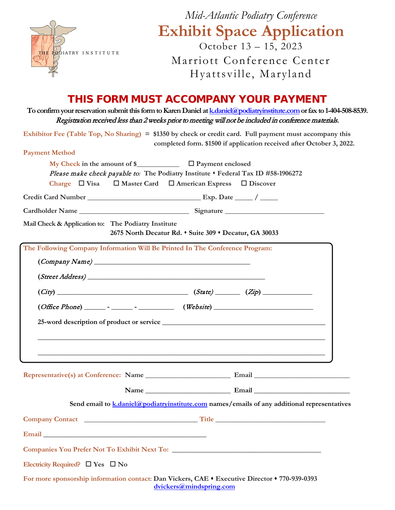

*Mid-Atlantic Podiatry Conference* **Exhibit Space Application** October 13 – 15, 2023

Marriott Conference Center Hyattsville, Maryland

### THIS FORM MUST ACCOMPANY YOUR PAYMENT

**To confirm your reservation submit this form to Karen Daniel a[t k.daniel@podiatryinstitute.como](mailto:k.daniel@podiatryinstitute.com)r fax to 1-404-508-8539.** Registration received less than 2 weeks prior to meeting will not be included in conference materials.

**Exhibitor Fee (Table Top, No Sharing) = \$1350 by check or credit card. Full payment must accompany this completed form. \$1500 if application received after October 3, 2022.**

| <b>Payment Method</b>                                                                                         |                                                                                                                    |
|---------------------------------------------------------------------------------------------------------------|--------------------------------------------------------------------------------------------------------------------|
|                                                                                                               | My Check in the amount of $\sum$ $\Box$ Payment enclosed                                                           |
|                                                                                                               | Please make check payable to: The Podiatry Institute . Federal Tax ID #58-1906272                                  |
|                                                                                                               | Charge $\Box$ Visa $\Box$ Master Card $\Box$ American Express $\Box$ Discover                                      |
|                                                                                                               |                                                                                                                    |
|                                                                                                               |                                                                                                                    |
| Mail Check & Application to: The Podiatry Institute                                                           | 2675 North Decatur Rd. • Suite 309 • Decatur, GA 30033                                                             |
|                                                                                                               | The Following Company Information Will Be Printed In The Conference Program:                                       |
|                                                                                                               | $\left( \textit{Company Name} \right)$                                                                             |
|                                                                                                               |                                                                                                                    |
|                                                                                                               | $(City)$ $(Xip)$                                                                                                   |
|                                                                                                               | $(Office Phone)$ $     (Website)$ $($                                                                              |
|                                                                                                               |                                                                                                                    |
|                                                                                                               |                                                                                                                    |
|                                                                                                               | <u> 1989 - Johann Stoff, amerikansk politiker (d. 1989)</u>                                                        |
|                                                                                                               |                                                                                                                    |
|                                                                                                               |                                                                                                                    |
|                                                                                                               |                                                                                                                    |
|                                                                                                               |                                                                                                                    |
|                                                                                                               | Send email to k.daniel@podiatryinstitute.com names/emails of any additional representatives                        |
|                                                                                                               | Company Contact Company Contact Company Contact Company Contact Company Contact Company Contact Company Contact    |
| Email and the contract of the contract of the contract of the contract of the contract of the contract of the |                                                                                                                    |
|                                                                                                               |                                                                                                                    |
|                                                                                                               |                                                                                                                    |
| Electricity Required? $\Box$ Yes $\Box$ No                                                                    |                                                                                                                    |
|                                                                                                               | For more sponsorship information contact: Dan Vickers, CAE $\triangle$ Executive Director $\triangle$ 770-939-0393 |

**[dvickers@mindspring.com](mailto:dvickers@mindspring.com)**